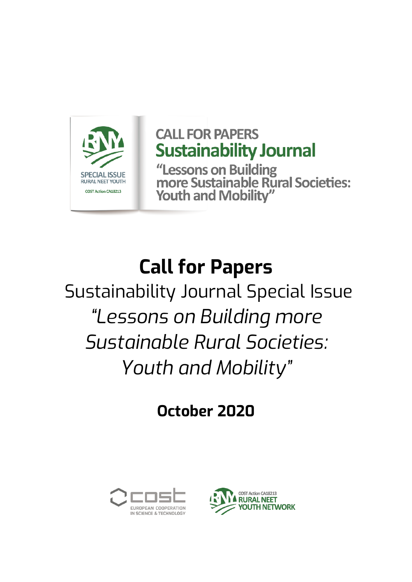

## **CALL FOR PAPERS Sustainability Journal**

"Lessons on Building<br>more Sustainable Rural Societies: **Youth and Mobility"** 

# **Call for Papers**

Sustainability Journal Special Issue *"Lessons on Building more Sustainable Rural Societies: Youth and Mobility"*

**October 2020**



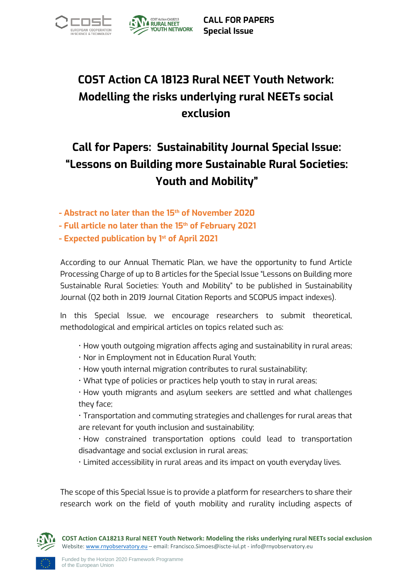



**CALL FOR PAPERS Special Issue**

### **COST Action CA 18123 Rural NEET Youth Network: Modelling the risks underlying rural NEETs social exclusion**

#### **Call for Papers: Sustainability Journal Special Issue: "Lessons on Building more Sustainable Rural Societies: Youth and Mobility"**

- **- Abstract no later than the 15th of November 2020**
- **- Full article no later than the 15th of February 2021**
- **- Expected publication by 1 st of April 2021**

According to our Annual Thematic Plan, we have the opportunity to fund Article Processing Charge of up to 8 articles for the Special Issue "Lessons on Building more Sustainable Rural Societies: Youth and Mobility" to be published in Sustainability Journal (Q2 both in 2019 Journal Citation Reports and SCOPUS impact indexes).

In this Special Issue, we encourage researchers to submit theoretical, methodological and empirical articles on topics related such as:

- How youth outgoing migration affects aging and sustainability in rural areas;
- Nor in Employment not in Education Rural Youth;
- How youth internal migration contributes to rural sustainability;
- What type of policies or practices help youth to stay in rural areas;

• How youth migrants and asylum seekers are settled and what challenges they face;

• Transportation and commuting strategies and challenges for rural areas that are relevant for youth inclusion and sustainability;

• How constrained transportation options could lead to transportation disadvantage and social exclusion in rural areas;

• Limited accessibility in rural areas and its impact on youth everyday lives.

The scope of this Special Issue is to provide a platform for researchers to share their research work on the field of youth mobility and rurality including aspects of

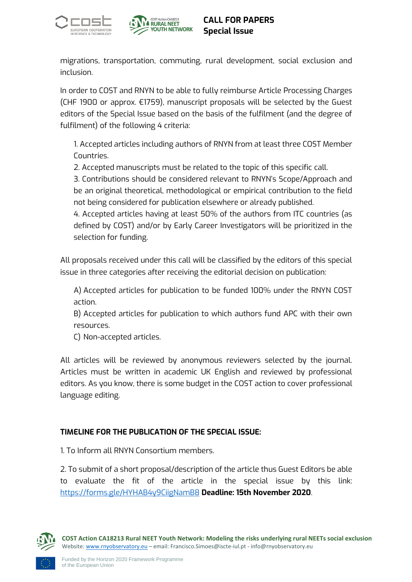



migrations, transportation, commuting, rural development, social exclusion and inclusion.

In order to COST and RNYN to be able to fully reimburse Article Processing Charges (CHF 1900 or approx. €1759), manuscript proposals will be selected by the Guest editors of the Special Issue based on the basis of the fulfilment (and the degree of fulfilment) of the following 4 criteria:

1. Accepted articles including authors of RNYN from at least three COST Member Countries.

2. Accepted manuscripts must be related to the topic of this specific call.

3. Contributions should be considered relevant to RNYN's Scope/Approach and be an original theoretical, methodological or empirical contribution to the field not being considered for publication elsewhere or already published.

4. Accepted articles having at least 50% of the authors from ITC countries (as defined by COST) and/or by Early Career Investigators will be prioritized in the selection for funding.

All proposals received under this call will be classified by the editors of this special issue in three categories after receiving the editorial decision on publication:

A) Accepted articles for publication to be funded 100% under the RNYN COST action.

B) Accepted articles for publication to which authors fund APC with their own resources.

C) Non-accepted articles.

All articles will be reviewed by anonymous reviewers selected by the journal. Articles must be written in academic UK English and reviewed by professional editors. As you know, there is some budget in the COST action to cover professional language editing.

#### **TIMELINE FOR THE PUBLICATION OF THE SPECIAL ISSUE:**

1. To Inform all RNYN Consortium members.

2. To submit of a short proposal/description of the article thus Guest Editors be able to evaluate the fit of the article in the special issue by this link: <https://forms.gle/HYHAB4y9CiigNamB8> **Deadline: 15th November 2020**.